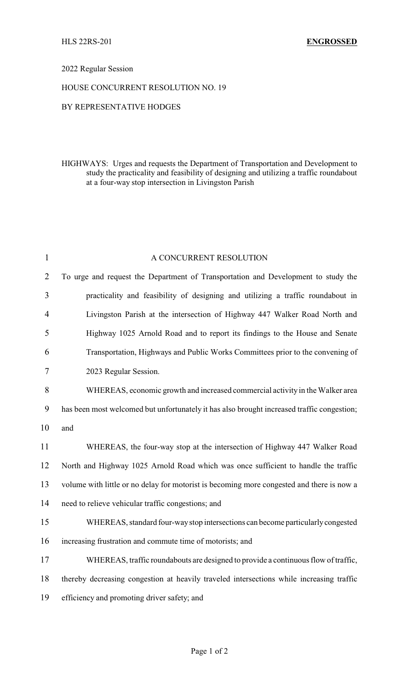## 2022 Regular Session

## HOUSE CONCURRENT RESOLUTION NO. 19

## BY REPRESENTATIVE HODGES

HIGHWAYS: Urges and requests the Department of Transportation and Development to study the practicality and feasibility of designing and utilizing a traffic roundabout at a four-way stop intersection in Livingston Parish

| $\mathbf{1}$   | A CONCURRENT RESOLUTION                                                                    |
|----------------|--------------------------------------------------------------------------------------------|
| $\overline{2}$ | To urge and request the Department of Transportation and Development to study the          |
| 3              | practicality and feasibility of designing and utilizing a traffic roundabout in            |
| $\overline{4}$ | Livingston Parish at the intersection of Highway 447 Walker Road North and                 |
| 5              | Highway 1025 Arnold Road and to report its findings to the House and Senate                |
| 6              | Transportation, Highways and Public Works Committees prior to the convening of             |
| 7              | 2023 Regular Session.                                                                      |
| 8              | WHEREAS, economic growth and increased commercial activity in the Walker area              |
| 9              | has been most welcomed but unfortunately it has also brought increased traffic congestion; |
| 10             | and                                                                                        |
| 11             | WHEREAS, the four-way stop at the intersection of Highway 447 Walker Road                  |
| 12             | North and Highway 1025 Arnold Road which was once sufficient to handle the traffic         |
| 13             | volume with little or no delay for motorist is becoming more congested and there is now a  |
| 14             | need to relieve vehicular traffic congestions; and                                         |
| 15             | WHEREAS, standard four-way stop intersections can become particularly congested            |
| 16             | increasing frustration and commute time of motorists; and                                  |
| 17             | WHEREAS, traffic roundabouts are designed to provide a continuous flow of traffic,         |
| 18             | thereby decreasing congestion at heavily traveled intersections while increasing traffic   |
| 19             | efficiency and promoting driver safety; and                                                |